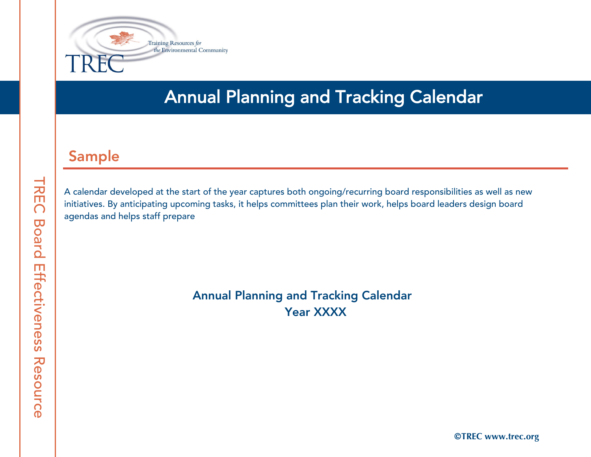

## Annual Planning and Tracking Calendar

## Sample

A calendar developed at the start of the year captures both ongoing/recurring board responsibilities as well as new initiatives. By anticipating upcoming tasks, it helps committees plan their work, helps board leaders design board agendas and helps staff prepare

> Annual Planning and Tracking Calendar Year XXXX

Ó**TREC www.trec.org**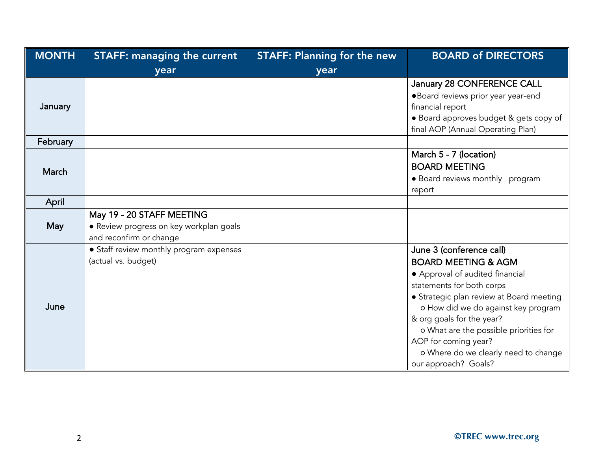| <b>MONTH</b> | <b>STAFF: managing the current</b>                                                              | <b>STAFF: Planning for the new</b> | <b>BOARD of DIRECTORS</b>                                                                                                                                                                                                                                                                                                                                                    |
|--------------|-------------------------------------------------------------------------------------------------|------------------------------------|------------------------------------------------------------------------------------------------------------------------------------------------------------------------------------------------------------------------------------------------------------------------------------------------------------------------------------------------------------------------------|
|              | year                                                                                            | year                               |                                                                                                                                                                                                                                                                                                                                                                              |
| January      |                                                                                                 |                                    | January 28 CONFERENCE CALL<br>·Board reviews prior year year-end<br>financial report<br>· Board approves budget & gets copy of<br>final AOP (Annual Operating Plan)                                                                                                                                                                                                          |
| February     |                                                                                                 |                                    |                                                                                                                                                                                                                                                                                                                                                                              |
| March        |                                                                                                 |                                    | March 5 - 7 (location)<br><b>BOARD MEETING</b><br>• Board reviews monthly program<br>report                                                                                                                                                                                                                                                                                  |
| April        |                                                                                                 |                                    |                                                                                                                                                                                                                                                                                                                                                                              |
| May          | May 19 - 20 STAFF MEETING<br>· Review progress on key workplan goals<br>and reconfirm or change |                                    |                                                                                                                                                                                                                                                                                                                                                                              |
| June         | • Staff review monthly program expenses<br>(actual vs. budget)                                  |                                    | June 3 (conference call)<br><b>BOARD MEETING &amp; AGM</b><br>• Approval of audited financial<br>statements for both corps<br>• Strategic plan review at Board meeting<br>o How did we do against key program<br>& org goals for the year?<br>o What are the possible priorities for<br>AOP for coming year?<br>o Where do we clearly need to change<br>our approach? Goals? |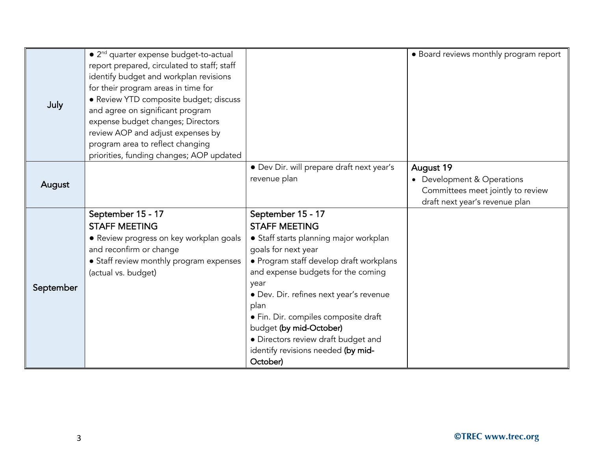| July      | • 2 <sup>nd</sup> quarter expense budget-to-actual<br>report prepared, circulated to staff; staff<br>identify budget and workplan revisions<br>for their program areas in time for<br>· Review YTD composite budget; discuss<br>and agree on significant program<br>expense budget changes; Directors<br>review AOP and adjust expenses by<br>program area to reflect changing |                                                                                                                                                                                                                                                                                                                                                                                                                    | • Board reviews monthly program report                                                                       |
|-----------|--------------------------------------------------------------------------------------------------------------------------------------------------------------------------------------------------------------------------------------------------------------------------------------------------------------------------------------------------------------------------------|--------------------------------------------------------------------------------------------------------------------------------------------------------------------------------------------------------------------------------------------------------------------------------------------------------------------------------------------------------------------------------------------------------------------|--------------------------------------------------------------------------------------------------------------|
|           | priorities, funding changes; AOP updated                                                                                                                                                                                                                                                                                                                                       |                                                                                                                                                                                                                                                                                                                                                                                                                    |                                                                                                              |
| August    |                                                                                                                                                                                                                                                                                                                                                                                | • Dev Dir. will prepare draft next year's<br>revenue plan                                                                                                                                                                                                                                                                                                                                                          | August 19<br>Development & Operations<br>Committees meet jointly to review<br>draft next year's revenue plan |
| September | September 15 - 17<br><b>STAFF MEETING</b><br>• Review progress on key workplan goals<br>and reconfirm or change<br>• Staff review monthly program expenses<br>(actual vs. budget)                                                                                                                                                                                              | September 15 - 17<br><b>STAFF MEETING</b><br>• Staff starts planning major workplan<br>goals for next year<br>• Program staff develop draft workplans<br>and expense budgets for the coming<br>year<br>· Dev. Dir. refines next year's revenue<br>plan<br>• Fin. Dir. compiles composite draft<br>budget (by mid-October)<br>• Directors review draft budget and<br>identify revisions needed (by mid-<br>October) |                                                                                                              |